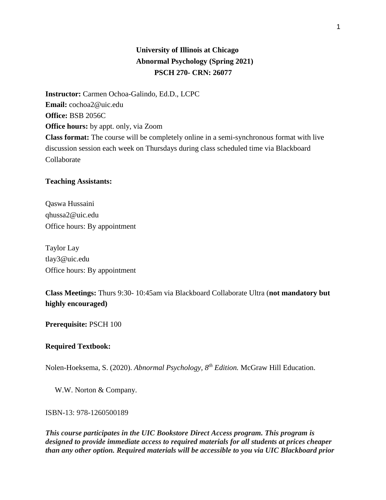# **University of Illinois at Chicago Abnormal Psychology (Spring 2021) PSCH 270- CRN: 26077**

**Instructor:** Carmen Ochoa-Galindo, Ed.D., LCPC **Email:** cochoa2@uic.edu **Office:** BSB 2056C **Office hours:** by appt. only, via Zoom **Class format:** The course will be completely online in a semi-synchronous format with live discussion session each week on Thursdays during class scheduled time via Blackboard Collaborate

### **Teaching Assistants:**

Qaswa Hussaini qhussa2@uic.edu Office hours: By appointment

Taylor Lay tlay3@uic.edu Office hours: By appointment

**Class Meetings:** Thurs 9:30- 10:45am via Blackboard Collaborate Ultra (**not mandatory but highly encouraged)**

**Prerequisite:** PSCH 100

#### **Required Textbook:**

Nolen-Hoeksema, S. (2020). *Abnormal Psychology, 8th Edition.* McGraw Hill Education.

W.W. Norton & Company.

#### ISBN-13: 978-1260500189

*This course participates in the UIC Bookstore Direct Access program. This program is designed to provide immediate access to required materials for all students at prices cheaper than any other option. Required materials will be accessible to you via UIC Blackboard prior*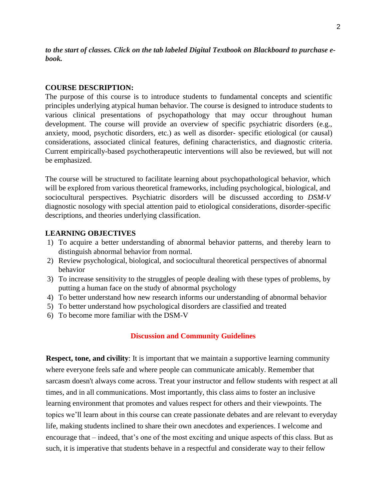*to the start of classes. Click on the tab labeled Digital Textbook on Blackboard to purchase ebook.* 

#### **COURSE DESCRIPTION:**

The purpose of this course is to introduce students to fundamental concepts and scientific principles underlying atypical human behavior. The course is designed to introduce students to various clinical presentations of psychopathology that may occur throughout human development. The course will provide an overview of specific psychiatric disorders (e.g., anxiety, mood, psychotic disorders, etc.) as well as disorder- specific etiological (or causal) considerations, associated clinical features, defining characteristics, and diagnostic criteria. Current empirically-based psychotherapeutic interventions will also be reviewed, but will not be emphasized.

The course will be structured to facilitate learning about psychopathological behavior, which will be explored from various theoretical frameworks, including psychological, biological, and sociocultural perspectives. Psychiatric disorders will be discussed according to *DSM-V* diagnostic nosology with special attention paid to etiological considerations, disorder-specific descriptions, and theories underlying classification.

## **LEARNING OBJECTIVES**

- 1) To acquire a better understanding of abnormal behavior patterns, and thereby learn to distinguish abnormal behavior from normal.
- 2) Review psychological, biological, and sociocultural theoretical perspectives of abnormal behavior
- 3) To increase sensitivity to the struggles of people dealing with these types of problems, by putting a human face on the study of abnormal psychology
- 4) To better understand how new research informs our understanding of abnormal behavior
- 5) To better understand how psychological disorders are classified and treated
- 6) To become more familiar with the DSM-V

#### **Discussion and Community Guidelines**

**Respect, tone, and civility**: It is important that we maintain a supportive learning community where everyone feels safe and where people can communicate amicably. Remember that sarcasm doesn't always come across. Treat your instructor and fellow students with respect at all times, and in all communications. Most importantly, this class aims to foster an inclusive learning environment that promotes and values respect for others and their viewpoints. The topics we'll learn about in this course can create passionate debates and are relevant to everyday life, making students inclined to share their own anecdotes and experiences. I welcome and encourage that – indeed, that's one of the most exciting and unique aspects of this class. But as such, it is imperative that students behave in a respectful and considerate way to their fellow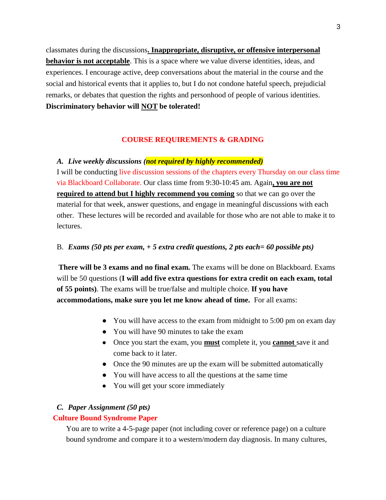classmates during the discussions**. Inappropriate, disruptive, or offensive interpersonal behavior is not acceptable**. This is a space where we value diverse identities, ideas, and experiences. I encourage active, deep conversations about the material in the course and the social and historical events that it applies to, but I do not condone hateful speech, prejudicial remarks, or debates that question the rights and personhood of people of various identities. **Discriminatory behavior will NOT be tolerated!**

### **COURSE REQUIREMENTS & GRADING**

#### *A. Live weekly discussions (not required by highly recommended)*

I will be conducting live discussion sessions of the chapters every Thursday on our class time via Blackboard Collaborate. Our class time from 9:30-10:45 am. Again**, you are not required to attend but I highly recommend you coming** so that we can go over the material for that week, answer questions, and engage in meaningful discussions with each other. These lectures will be recorded and available for those who are not able to make it to lectures.

### B. *Exams (50 pts per exam, + 5 extra credit questions, 2 pts each= 60 possible pts)*

**There will be 3 exams and no final exam.** The exams will be done on Blackboard. Exams will be 50 questions (**I will add five extra questions for extra credit on each exam, total of 55 points)**. The exams will be true/false and multiple choice. **If you have accommodations, make sure you let me know ahead of time.** For all exams:

- You will have access to the exam from midnight to 5:00 pm on exam day
- You will have 90 minutes to take the exam
- Once you start the exam, you **must** complete it, you **cannot** save it and come back to it later.
- Once the 90 minutes are up the exam will be submitted automatically
- You will have access to all the questions at the same time
- You will get your score immediately

### *C. Paper Assignment (50 pts)*

### **Culture Bound Syndrome Paper**

You are to write a 4-5-page paper (not including cover or reference page) on a culture bound syndrome and compare it to a western/modern day diagnosis. In many cultures,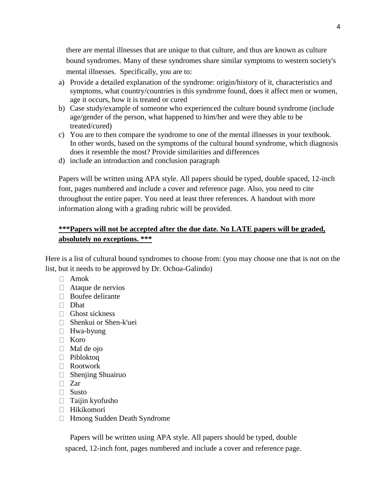there are mental illnesses that are unique to that culture, and thus are known as culture bound syndromes. Many of these syndromes share similar symptoms to western society's mental illnesses. Specifically, you are to:

- a) Provide a detailed explanation of the syndrome: origin/history of it, characteristics and symptoms, what country/countries is this syndrome found, does it affect men or women, age it occurs, how it is treated or cured
- b) Case study/example of someone who experienced the culture bound syndrome (include age/gender of the person, what happened to him/her and were they able to be treated/cured)
- c) You are to then compare the syndrome to one of the mental illnesses in your textbook. In other words, based on the symptoms of the cultural bound syndrome, which diagnosis does it resemble the most? Provide similarities and differences
- d) include an introduction and conclusion paragraph

Papers will be written using APA style. All papers should be typed, double spaced, 12-inch font, pages numbered and include a cover and reference page. Also, you need to cite throughout the entire paper. You need at least three references. A handout with more information along with a grading rubric will be provided.

# **\*\*\*Papers will not be accepted after the due date. No LATE papers will be graded, absolutely no exceptions. \*\*\***

Here is a list of cultural bound syndromes to choose from: (you may choose one that is not on the list, but it needs to be approved by Dr. Ochoa-Galindo)

- $\Box$  Amok
- $\Box$  Ataque de nervios
- $\Box$  Boufee delirante
- Dhat
- Ghost sickness
- Shenkui or Shen-k'uei
- □ Hwa-byung
- Koro
- $\Box$  Mal de ojo
- Pibloktoq
- Rootwork
- $\Box$  Shenjing Shuairuo
- $\Box$  Zar
- $\Box$  Susto
- $\Box$  Taijin kyofusho
- Hikikomori
- Hmong Sudden Death Syndrome

Papers will be written using APA style. All papers should be typed, double spaced, 12-inch font, pages numbered and include a cover and reference page.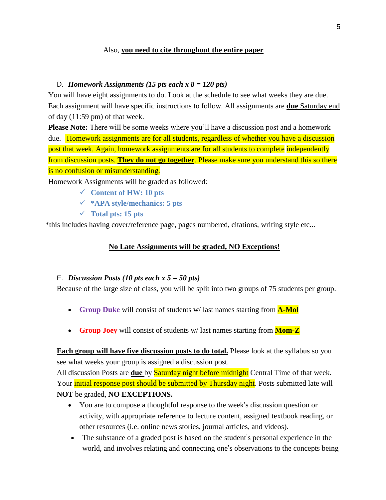# Also, **you need to cite throughout the entire paper**

### D. *Homework Assignments (15 pts each x 8 = 120 pts)*

You will have eight assignments to do. Look at the schedule to see what weeks they are due. Each assignment will have specific instructions to follow. All assignments are **due** Saturday end of day (11:59 pm) of that week.

**Please Note:** There will be some weeks where you'll have a discussion post and a homework due. Homework assignments are for all students, regardless of whether you have a discussion post that week. Again, homework assignments are for all students to complete independently from discussion posts. **They do not go together**. Please make sure you understand this so there is no confusion or misunderstanding.

Homework Assignments will be graded as followed:

- **Content of HW: 10 pts**
- **\*APA style/mechanics: 5 pts**
- **Total pts: 15 pts**

\*this includes having cover/reference page, pages numbered, citations, writing style etc...

## **No Late Assignments will be graded, NO Exceptions!**

## E. *Discussion Posts (10 pts each x 5 = 50 pts)*

Because of the large size of class, you will be split into two groups of 75 students per group.

- **Group Duke** will consist of students w/ last names starting from **A-Mol**
- **Group Joey** will consist of students w/ last names starting from **Mom-Z**

**Each group will have five discussion posts to do total.** Please look at the syllabus so you see what weeks your group is assigned a discussion post.

All discussion Posts are **due** by Saturday night before midnight Central Time of that week. Your *initial response post should be submitted by Thursday night*. Posts submitted late will **NOT** be graded, **NO EXCEPTIONS.** 

- You are to compose a thoughtful response to the week's discussion question or activity, with appropriate reference to lecture content, assigned textbook reading, or other resources (i.e. online news stories, journal articles, and videos).
- The substance of a graded post is based on the student's personal experience in the world, and involves relating and connecting one's observations to the concepts being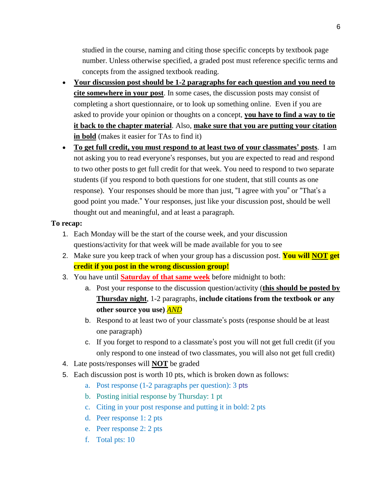studied in the course, naming and citing those specific concepts by textbook page number. Unless otherwise specified, a graded post must reference specific terms and concepts from the assigned textbook reading.

- **Your discussion post should be 1-2 paragraphs for each question and you need to cite somewhere in your post**. In some cases, the discussion posts may consist of completing a short questionnaire, or to look up something online. Even if you are asked to provide your opinion or thoughts on a concept, **you have to find a way to tie it back to the chapter material**. Also, **make sure that you are putting your citation in bold** (makes it easier for TAs to find it)
- **To get full credit, you must respond to at least two of your classmates' posts**. I am not asking you to read everyone's responses, but you are expected to read and respond to two other posts to get full credit for that week. You need to respond to two separate students (if you respond to both questions for one student, that still counts as one response). Your responses should be more than just, "I agree with you" or "That's a good point you made." Your responses, just like your discussion post, should be well thought out and meaningful, and at least a paragraph.

# **To recap:**

- 1. Each Monday will be the start of the course week, and your discussion questions/activity for that week will be made available for you to see
- 2. Make sure you keep track of when your group has a discussion post. **You will NOT get credit if you post in the wrong discussion group!**
- 3. You have until **Saturday of that same week** before midnight to both:
	- a. Post your response to the discussion question/activity (**this should be posted by Thursday night**, 1-2 paragraphs, **include citations from the textbook or any other source you use)** *AND*
	- b. Respond to at least two of your classmate's posts (response should be at least one paragraph)
	- c. If you forget to respond to a classmate's post you will not get full credit (if you only respond to one instead of two classmates, you will also not get full credit)
- 4. Late posts/responses will **NOT** be graded
- 5. Each discussion post is worth 10 pts, which is broken down as follows:
	- a. Post response (1-2 paragraphs per question): 3 pts
	- b. Posting initial response by Thursday: 1 pt
	- c. Citing in your post response and putting it in bold: 2 pts
	- d. Peer response 1: 2 pts
	- e. Peer response 2: 2 pts
	- f. Total pts: 10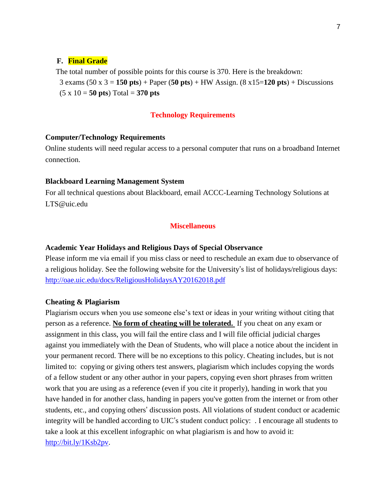### **F. Final Grade**

 The total number of possible points for this course is 370. Here is the breakdown: 3 exams (50 x 3 = **150 pts**) + Paper (**50 pts**) + HW Assign. (8 x15=**120 pts**) + Discussions  $(5 \times 10 = 50 \text{ pts}) \text{Total} = 370 \text{ pts}$ 

### **Technology Requirements**

### **Computer/Technology Requirements**

Online students will need regular access to a personal computer that runs on a broadband Internet connection.

#### **Blackboard Learning Management System**

For all technical questions about Blackboard, email ACCC-Learning Technology Solutions at LTS@uic.edu

## **Miscellaneous**

### **Academic Year Holidays and Religious Days of Special Observance**

Please inform me via email if you miss class or need to reschedule an exam due to observance of a religious holiday. See the following website for the University's list of holidays/religious days: http://oae.uic.edu/docs/ReligiousHolidaysAY20162018.pdf

### **Cheating & Plagiarism**

Plagiarism occurs when you use someone else's text or ideas in your writing without citing that person as a reference. **No form of cheating will be tolerated.** If you cheat on any exam or assignment in this class, you will fail the entire class and I will file official judicial charges against you immediately with the Dean of Students, who will place a notice about the incident in your permanent record. There will be no exceptions to this policy. Cheating includes, but is not limited to: copying or giving others test answers, plagiarism which includes copying the words of a fellow student or any other author in your papers, copying even short phrases from written work that you are using as a reference (even if you cite it properly), handing in work that you have handed in for another class, handing in papers you've gotten from the internet or from other students, etc., and copying others' discussion posts. All violations of student conduct or academic integrity will be handled according to UIC's student conduct policy: . I encourage all students to take a look at this excellent infographic on what plagiarism is and how to avoid it: http://bit.ly/1Ksb2pv.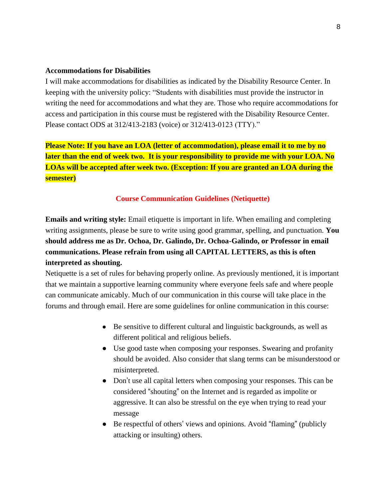### **Accommodations for Disabilities**

I will make accommodations for disabilities as indicated by the Disability Resource Center. In keeping with the university policy: "Students with disabilities must provide the instructor in writing the need for accommodations and what they are. Those who require accommodations for access and participation in this course must be registered with the Disability Resource Center. Please contact ODS at 312/413-2183 (voice) or 312/413-0123 (TTY)."

**Please Note: If you have an LOA (letter of accommodation), please email it to me by no later than the end of week two. It is your responsibility to provide me with your LOA. No LOAs will be accepted after week two. (Exception: If you are granted an LOA during the semester)**

### **Course Communication Guidelines (Netiquette)**

**Emails and writing style:** Email etiquette is important in life. When emailing and completing writing assignments, please be sure to write using good grammar, spelling, and punctuation. **You should address me as Dr. Ochoa, Dr. Galindo, Dr. Ochoa-Galindo, or Professor in email communications. Please refrain from using all CAPITAL LETTERS, as this is often interpreted as shouting.**

Netiquette is a set of rules for behaving properly online. As previously mentioned, it is important that we maintain a supportive learning community where everyone feels safe and where people can communicate amicably. Much of our communication in this course will take place in the forums and through email. Here are some guidelines for online communication in this course:

- Be sensitive to different cultural and linguistic backgrounds, as well as different political and religious beliefs.
- Use good taste when composing your responses. Swearing and profanity should be avoided. Also consider that slang terms can be misunderstood or misinterpreted.
- Don't use all capital letters when composing your responses. This can be considered "shouting" on the Internet and is regarded as impolite or aggressive. It can also be stressful on the eye when trying to read your message
- Be respectful of others' views and opinions. Avoid "flaming" (publicly attacking or insulting) others.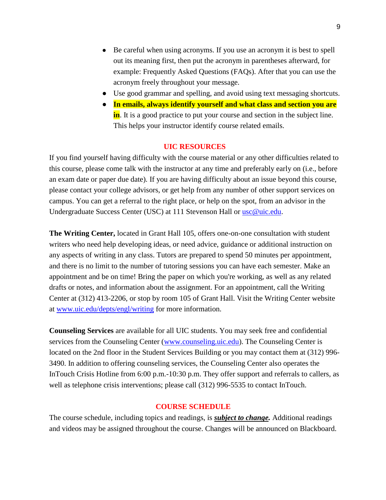- Be careful when using acronyms. If you use an acronym it is best to spell out its meaning first, then put the acronym in parentheses afterward, for example: Frequently Asked Questions (FAQs). After that you can use the acronym freely throughout your message.
- Use good grammar and spelling, and avoid using text messaging shortcuts.
- **In emails, always identify yourself and what class and section you are in**. It is a good practice to put your course and section in the subject line. This helps your instructor identify course related emails.

### **UIC RESOURCES**

If you find yourself having difficulty with the course material or any other difficulties related to this course, please come talk with the instructor at any time and preferably early on (i.e., before an exam date or paper due date). If you are having difficulty about an issue beyond this course, please contact your college advisors, or get help from any number of other support services on campus. You can get a referral to the right place, or help on the spot, from an advisor in the Undergraduate Success Center (USC) at 111 Stevenson Hall or usc@uic.edu.

**The Writing Center,** located in Grant Hall 105, offers one-on-one consultation with student writers who need help developing ideas, or need advice, guidance or additional instruction on any aspects of writing in any class. Tutors are prepared to spend 50 minutes per appointment, and there is no limit to the number of tutoring sessions you can have each semester. Make an appointment and be on time! Bring the paper on which you're working, as well as any related drafts or notes, and information about the assignment. For an appointment, call the Writing Center at (312) 413-2206, or stop by room 105 of Grant Hall. Visit the Writing Center website at www.uic.edu/depts/engl/writing for more information.

**Counseling Services** are available for all UIC students. You may seek free and confidential services from the Counseling Center (www.counseling.uic.edu). The Counseling Center is located on the 2nd floor in the Student Services Building or you may contact them at (312) 996- 3490. In addition to offering counseling services, the Counseling Center also operates the InTouch Crisis Hotline from 6:00 p.m.-10:30 p.m. They offer support and referrals to callers, as well as telephone crisis interventions; please call (312) 996-5535 to contact InTouch.

### **COURSE SCHEDULE**

The course schedule, including topics and readings, is *subject to change.* Additional readings and videos may be assigned throughout the course. Changes will be announced on Blackboard.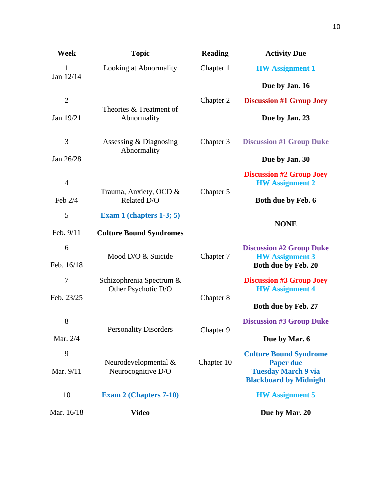| <b>Week</b>     | <b>Topic</b>                                    | <b>Reading</b> | <b>Activity Due</b>                                                              |
|-----------------|-------------------------------------------------|----------------|----------------------------------------------------------------------------------|
| 1               | Looking at Abnormality                          | Chapter 1      | <b>HW</b> Assignment 1                                                           |
| Jan 12/14       |                                                 |                | Due by Jan. 16                                                                   |
| $\overline{2}$  |                                                 | Chapter 2      | <b>Discussion #1 Group Joey</b>                                                  |
| Jan 19/21       | Theories & Treatment of<br>Abnormality          |                | Due by Jan. 23                                                                   |
| 3               | Assessing $& Diagramo$<br>Abnormality           | Chapter 3      | <b>Discussion #1 Group Duke</b>                                                  |
| Jan 26/28       |                                                 |                | Due by Jan. 30                                                                   |
| $\overline{4}$  |                                                 |                | <b>Discussion #2 Group Joey</b><br><b>HW</b> Assignment 2                        |
| Feb $2/4$       | Trauma, Anxiety, OCD &<br>Related D/O           | Chapter 5      | Both due by Feb. 6                                                               |
| 5               | Exam 1 (chapters $1-3$ ; 5)                     |                |                                                                                  |
| Feb. 9/11       | <b>Culture Bound Syndromes</b>                  |                | <b>NONE</b>                                                                      |
| 6<br>Feb. 16/18 | Mood D/O & Suicide                              | Chapter 7      | <b>Discussion #2 Group Duke</b><br><b>HW</b> Assignment 3<br>Both due by Feb. 20 |
| 7               | Schizophrenia Spectrum &<br>Other Psychotic D/O |                | <b>Discussion #3 Group Joey</b><br><b>HW</b> Assignment 4                        |
| Feb. 23/25      |                                                 | Chapter 8      | Both due by Feb. 27                                                              |
| 8               | <b>Personality Disorders</b>                    | Chapter 9      | <b>Discussion #3 Group Duke</b>                                                  |
| Mar. 2/4        |                                                 |                | Due by Mar. 6                                                                    |
| 9               |                                                 |                | <b>Culture Bound Syndrome</b>                                                    |
| Mar. 9/11       | Neurodevelopmental &<br>Neurocognitive D/O      | Chapter 10     | <b>Paper due</b><br><b>Tuesday March 9 via</b><br><b>Blackboard by Midnight</b>  |
| 10              | <b>Exam 2 (Chapters 7-10)</b>                   |                | <b>HW</b> Assignment 5                                                           |
| Mar. 16/18      | <b>Video</b>                                    |                | Due by Mar. 20                                                                   |